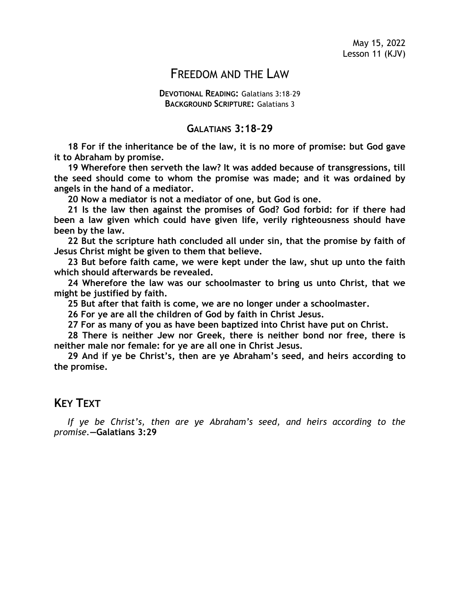## FREEDOM AND THE LAW

**DEVOTIONAL READING:** Galatians 3:18–29 **BACKGROUND SCRIPTURE:** Galatians 3

### **GALATIANS 3:18–29**

**18 For if the inheritance be of the law, it is no more of promise: but God gave it to Abraham by promise.**

**19 Wherefore then serveth the law? It was added because of transgressions, till the seed should come to whom the promise was made; and it was ordained by angels in the hand of a mediator.**

**20 Now a mediator is not a mediator of one, but God is one.**

**21 Is the law then against the promises of God? God forbid: for if there had been a law given which could have given life, verily righteousness should have been by the law.**

**22 But the scripture hath concluded all under sin, that the promise by faith of Jesus Christ might be given to them that believe.**

**23 But before faith came, we were kept under the law, shut up unto the faith which should afterwards be revealed.**

**24 Wherefore the law was our schoolmaster to bring us unto Christ, that we might be justified by faith.**

**25 But after that faith is come, we are no longer under a schoolmaster.**

**26 For ye are all the children of God by faith in Christ Jesus.**

**27 For as many of you as have been baptized into Christ have put on Christ.**

**28 There is neither Jew nor Greek, there is neither bond nor free, there is neither male nor female: for ye are all one in Christ Jesus.**

**29 And if ye be Christ's, then are ye Abraham's seed, and heirs according to the promise.**

## **KEY TEXT**

*If ye be Christ's, then are ye Abraham's seed, and heirs according to the promise.***—Galatians 3:29**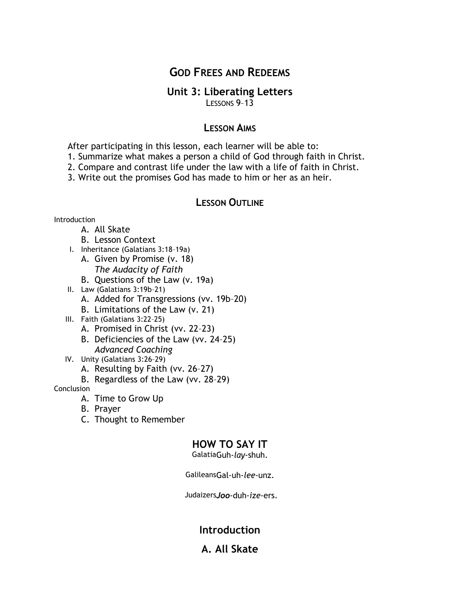# **GOD FREES AND REDEEMS**

## **Unit 3: Liberating Letters**

LESSONS 9–13

### **LESSON AIMS**

After participating in this lesson, each learner will be able to:

- 1. Summarize what makes a person a child of God through faith in Christ.
- 2. Compare and contrast life under the law with a life of faith in Christ.
- 3. Write out the promises God has made to him or her as an heir.

### **LESSON OUTLINE**

Introduction

- A. All Skate
- B. Lesson Context
- I. Inheritance (Galatians 3:18–19a)
	- A. Given by Promise (v. 18) *The Audacity of Faith*
	- B. Questions of the Law (v. 19a)
- II. Law (Galatians 3:19b–21)
	- A. Added for Transgressions (vv. 19b–20)
	- B. Limitations of the Law (v. 21)
- III. Faith (Galatians 3:22–25)
	- A. Promised in Christ (vv. 22–23)
	- B. Deficiencies of the Law (vv. 24–25) *Advanced Coaching*
- IV. Unity (Galatians 3:26–29)
	- A. Resulting by Faith (vv. 26–27)
	- B. Regardless of the Law (vv. 28–29)

**Conclusion** 

- A. Time to Grow Up
- B. Prayer
- C. Thought to Remember

## **HOW TO SAY IT**

GalatiaGuh-*lay-*shuh.

GalileansGal-uh-*lee-*unz.

Judaizers*Joo-*duh-*ize-*ers.

**Introduction**

**A. All Skate**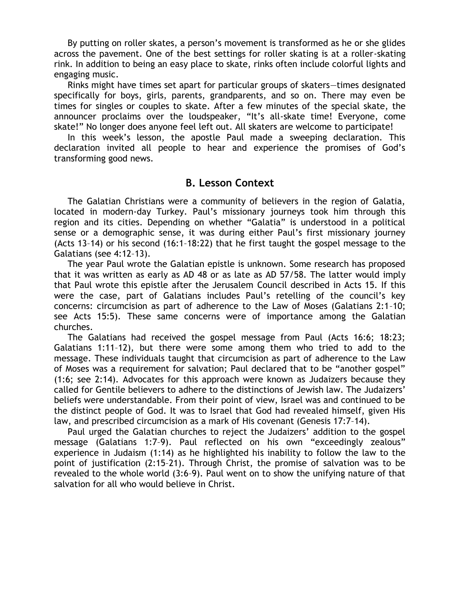By putting on roller skates, a person's movement is transformed as he or she glides across the pavement. One of the best settings for roller skating is at a roller-skating rink. In addition to being an easy place to skate, rinks often include colorful lights and engaging music.

Rinks might have times set apart for particular groups of skaters—times designated specifically for boys, girls, parents, grandparents, and so on. There may even be times for singles or couples to skate. After a few minutes of the special skate, the announcer proclaims over the loudspeaker, "It's all-skate time! Everyone, come skate!" No longer does anyone feel left out. All skaters are welcome to participate!

In this week's lesson, the apostle Paul made a sweeping declaration. This declaration invited all people to hear and experience the promises of God's transforming good news.

## **B. Lesson Context**

The Galatian Christians were a community of believers in the region of Galatia, located in modern-day Turkey. Paul's missionary journeys took him through this region and its cities. Depending on whether "Galatia" is understood in a political sense or a demographic sense, it was during either Paul's first missionary journey (Acts 13–14) or his second (16:1–18:22) that he first taught the gospel message to the Galatians (see 4:12–13).

The year Paul wrote the Galatian epistle is unknown. Some research has proposed that it was written as early as AD 48 or as late as AD 57/58. The latter would imply that Paul wrote this epistle after the Jerusalem Council described in Acts 15. If this were the case, part of Galatians includes Paul's retelling of the council's key concerns: circumcision as part of adherence to the Law of Moses (Galatians 2:1–10; see Acts 15:5). These same concerns were of importance among the Galatian churches.

The Galatians had received the gospel message from Paul (Acts 16:6; 18:23; Galatians 1:11–12), but there were some among them who tried to add to the message. These individuals taught that circumcision as part of adherence to the Law of Moses was a requirement for salvation; Paul declared that to be "another gospel" (1:6; see 2:14). Advocates for this approach were known as Judaizers because they called for Gentile believers to adhere to the distinctions of Jewish law. The Judaizers' beliefs were understandable. From their point of view, Israel was and continued to be the distinct people of God. It was to Israel that God had revealed himself, given His law, and prescribed circumcision as a mark of His covenant (Genesis 17:7–14).

Paul urged the Galatian churches to reject the Judaizers' addition to the gospel message (Galatians 1:7–9). Paul reflected on his own "exceedingly zealous" experience in Judaism (1:14) as he highlighted his inability to follow the law to the point of justification (2:15–21). Through Christ, the promise of salvation was to be revealed to the whole world (3:6–9). Paul went on to show the unifying nature of that salvation for all who would believe in Christ.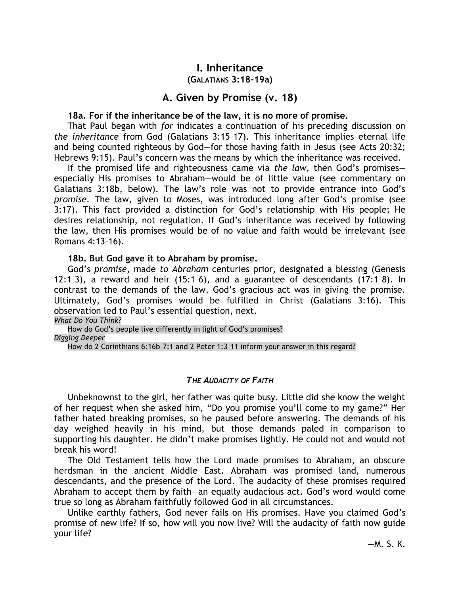## **I. Inheritance**

### **(GALATIANS 3:18–19a)**

### **A. Given by Promise (v. 18)**

#### **18a. For if the inheritance be of the law, it is no more of promise.**

That Paul began with *for* indicates a continuation of his preceding discussion on *the inheritance* from God (Galatians 3:15–17). This inheritance implies eternal life and being counted righteous by God—for those having faith in Jesus (see Acts 20:32; Hebrews 9:15). Paul's concern was the means by which the inheritance was received.

If the promised life and righteousness came via *the law*, then God's promises especially His promises to Abraham—would be of little value (see commentary on Galatians 3:18b, below). The law's role was not to provide entrance into God's *promise*. The law, given to Moses, was introduced long after God's promise (see 3:17). This fact provided a distinction for God's relationship with His people; He desires relationship, not regulation. If God's inheritance was received by following the law, then His promises would be of no value and faith would be irrelevant (see Romans 4:13–16).

#### **18b. But God gave it to Abraham by promise.**

God's *promise*, made *to Abraham* centuries prior, designated a blessing (Genesis 12:1–3), a reward and heir (15:1–6), and a guarantee of descendants (17:1–8). In contrast to the demands of the law, God's gracious act was in giving the promise. Ultimately, God's promises would be fulfilled in Christ (Galatians 3:16). This observation led to Paul's essential question, next. *What Do You Think?*

How do God's people live differently in light of God's promises? *Digging Deeper*

How do 2 Corinthians 6:16b–7:1 and 2 Peter 1:3–11 inform your answer in this regard?

### *THE AUDACITY OF FAITH*

Unbeknownst to the girl, her father was quite busy. Little did she know the weight of her request when she asked him, "Do you promise you'll come to my game?" Her father hated breaking promises, so he paused before answering. The demands of his day weighed heavily in his mind, but those demands paled in comparison to supporting his daughter. He didn't make promises lightly. He could not and would not break his word!

The Old Testament tells how the Lord made promises to Abraham, an obscure herdsman in the ancient Middle East. Abraham was promised land, numerous descendants, and the presence of the Lord. The audacity of these promises required Abraham to accept them by faith—an equally audacious act. God's word would come true so long as Abraham faithfully followed God in all circumstances.

Unlike earthly fathers, God never fails on His promises. Have you claimed God's promise of new life? If so, how will you now live? Will the audacity of faith now guide your life?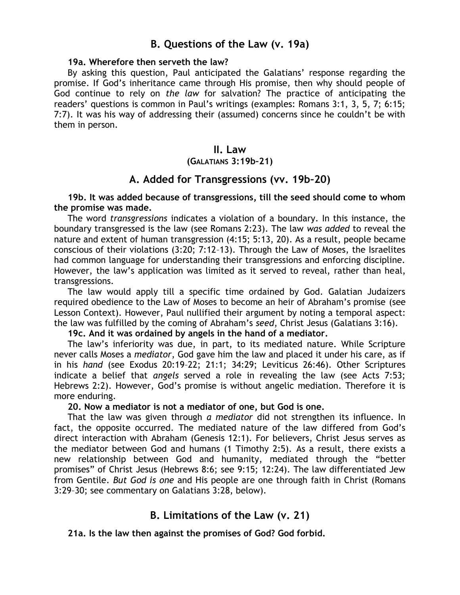## **B. Questions of the Law (v. 19a)**

#### **19a. Wherefore then serveth the law?**

By asking this question, Paul anticipated the Galatians' response regarding the promise. If God's inheritance came through His promise, then why should people of God continue to rely on *the law* for salvation? The practice of anticipating the readers' questions is common in Paul's writings (examples: Romans 3:1, 3, 5, 7; 6:15; 7:7). It was his way of addressing their (assumed) concerns since he couldn't be with them in person.

#### **II. Law**

#### **(GALATIANS 3:19b–21)**

### **A. Added for Transgressions (vv. 19b–20)**

**19b. It was added because of transgressions, till the seed should come to whom the promise was made.**

The word *transgressions* indicates a violation of a boundary. In this instance, the boundary transgressed is the law (see Romans 2:23). The law *was added* to reveal the nature and extent of human transgression (4:15; 5:13, 20). As a result, people became conscious of their violations (3:20; 7:12–13). Through the Law of Moses, the Israelites had common language for understanding their transgressions and enforcing discipline. However, the law's application was limited as it served to reveal, rather than heal, transgressions.

The law would apply till a specific time ordained by God. Galatian Judaizers required obedience to the Law of Moses to become an heir of Abraham's promise (see Lesson Context). However, Paul nullified their argument by noting a temporal aspect: the law was fulfilled by the coming of Abraham's *seed*, Christ Jesus (Galatians 3:16).

**19c. And it was ordained by angels in the hand of a mediator.**

The law's inferiority was due, in part, to its mediated nature. While Scripture never calls Moses a *mediator*, God gave him the law and placed it under his care, as if in his *hand* (see Exodus 20:19–22; 21:1; 34:29; Leviticus 26:46). Other Scriptures indicate a belief that *angels* served a role in revealing the law (see Acts 7:53; Hebrews 2:2). However, God's promise is without angelic mediation. Therefore it is more enduring.

#### **20. Now a mediator is not a mediator of one, but God is one.**

That the law was given through *a mediator* did not strengthen its influence. In fact, the opposite occurred. The mediated nature of the law differed from God's direct interaction with Abraham (Genesis 12:1). For believers, Christ Jesus serves as the mediator between God and humans (1 Timothy 2:5). As a result, there exists a new relationship between God and humanity, mediated through the "better promises" of Christ Jesus (Hebrews 8:6; see 9:15; 12:24). The law differentiated Jew from Gentile. *But God is one* and His people are one through faith in Christ (Romans 3:29–30; see commentary on Galatians 3:28, below).

## **B. Limitations of the Law (v. 21)**

**21a. Is the law then against the promises of God? God forbid.**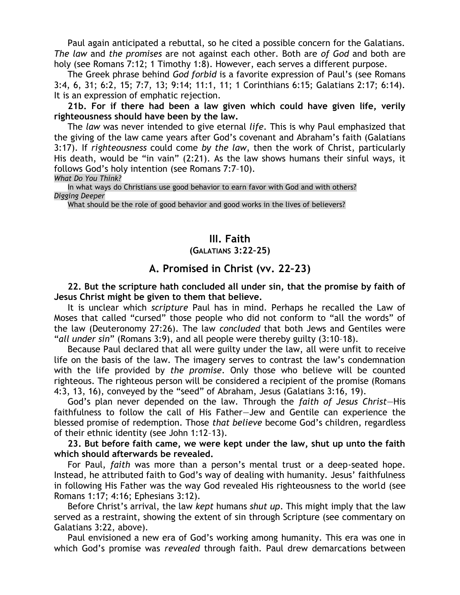Paul again anticipated a rebuttal, so he cited a possible concern for the Galatians. *The law* and *the promises* are not against each other. Both are *of God* and both are holy (see Romans 7:12; 1 Timothy 1:8). However, each serves a different purpose.

The Greek phrase behind *God forbid* is a favorite expression of Paul's (see Romans 3:4, 6, 31; 6:2, 15; 7:7, 13; 9:14; 11:1, 11; 1 Corinthians 6:15; Galatians 2:17; 6:14). It is an expression of emphatic rejection.

**21b. For if there had been a law given which could have given life, verily righteousness should have been by the law.**

The *law* was never intended to give eternal *life*. This is why Paul emphasized that the giving of the law came years after God's covenant and Abraham's faith (Galatians 3:17). If *righteousness* could come *by the law*, then the work of Christ, particularly His death, would be "in vain" (2:21). As the law shows humans their sinful ways, it follows God's holy intention (see Romans 7:7–10).

*What Do You Think?*

In what ways do Christians use good behavior to earn favor with God and with others? *Digging Deeper*

What should be the role of good behavior and good works in the lives of believers?

### **III. Faith**

**(GALATIANS 3:22–25)**

### **A. Promised in Christ (vv. 22–23)**

**22. But the scripture hath concluded all under sin, that the promise by faith of Jesus Christ might be given to them that believe.**

It is unclear which *scripture* Paul has in mind. Perhaps he recalled the Law of Moses that called "cursed" those people who did not conform to "all the words" of the law (Deuteronomy 27:26). The law *concluded* that both Jews and Gentiles were "*all under sin*" (Romans 3:9), and all people were thereby guilty (3:10–18).

Because Paul declared that all were guilty under the law, all were unfit to receive life on the basis of the law. The imagery serves to contrast the law's condemnation with the life provided by *the promise*. Only those who believe will be counted righteous. The righteous person will be considered a recipient of the promise (Romans 4:3, 13, 16), conveyed by the "seed" of Abraham, Jesus (Galatians 3:16, 19).

God's plan never depended on the law. Through the *faith of Jesus Christ*—His faithfulness to follow the call of His Father—Jew and Gentile can experience the blessed promise of redemption. Those *that believe* become God's children, regardless of their ethnic identity (see John 1:12–13).

**23. But before faith came, we were kept under the law, shut up unto the faith which should afterwards be revealed.**

For Paul, *faith* was more than a person's mental trust or a deep-seated hope. Instead, he attributed faith to God's way of dealing with humanity. Jesus' faithfulness in following His Father was the way God revealed His righteousness to the world (see Romans 1:17; 4:16; Ephesians 3:12).

Before Christ's arrival, the law *kept* humans *shut up*. This might imply that the law served as a restraint, showing the extent of sin through Scripture (see commentary on Galatians 3:22, above).

Paul envisioned a new era of God's working among humanity. This era was one in which God's promise was *revealed* through faith. Paul drew demarcations between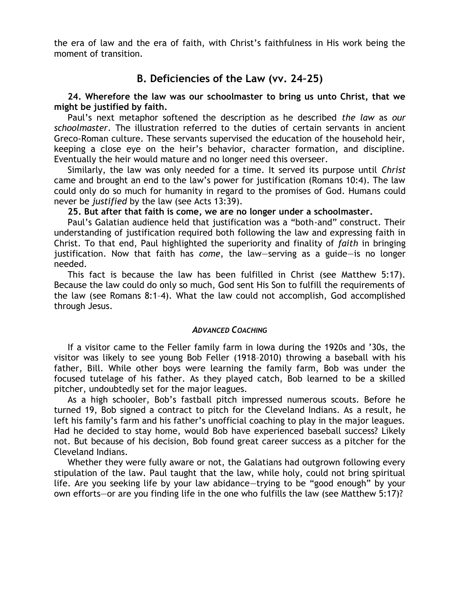the era of law and the era of faith, with Christ's faithfulness in His work being the moment of transition.

## **B. Deficiencies of the Law (vv. 24–25)**

**24. Wherefore the law was our schoolmaster to bring us unto Christ, that we might be justified by faith.**

Paul's next metaphor softened the description as he described *the law* as *our schoolmaster*. The illustration referred to the duties of certain servants in ancient Greco-Roman culture. These servants supervised the education of the household heir, keeping a close eye on the heir's behavior, character formation, and discipline. Eventually the heir would mature and no longer need this overseer.

Similarly, the law was only needed for a time. It served its purpose until *Christ* came and brought an end to the law's power for justification (Romans 10:4). The law could only do so much for humanity in regard to the promises of God. Humans could never be *justified* by the law (see Acts 13:39).

**25. But after that faith is come, we are no longer under a schoolmaster.**

Paul's Galatian audience held that justification was a "both-and" construct. Their understanding of justification required both following the law and expressing faith in Christ. To that end, Paul highlighted the superiority and finality of *faith* in bringing justification. Now that faith has *come*, the law—serving as a guide—is no longer needed.

This fact is because the law has been fulfilled in Christ (see Matthew 5:17). Because the law could do only so much, God sent His Son to fulfill the requirements of the law (see Romans 8:1–4). What the law could not accomplish, God accomplished through Jesus.

#### *ADVANCED COACHING*

If a visitor came to the Feller family farm in Iowa during the 1920s and '30s, the visitor was likely to see young Bob Feller (1918–2010) throwing a baseball with his father, Bill. While other boys were learning the family farm, Bob was under the focused tutelage of his father. As they played catch, Bob learned to be a skilled pitcher, undoubtedly set for the major leagues.

As a high schooler, Bob's fastball pitch impressed numerous scouts. Before he turned 19, Bob signed a contract to pitch for the Cleveland Indians. As a result, he left his family's farm and his father's unofficial coaching to play in the major leagues. Had he decided to stay home, would Bob have experienced baseball success? Likely not. But because of his decision, Bob found great career success as a pitcher for the Cleveland Indians.

Whether they were fully aware or not, the Galatians had outgrown following every stipulation of the law. Paul taught that the law, while holy, could not bring spiritual life. Are you seeking life by your law abidance—trying to be "good enough" by your own efforts—or are you finding life in the one who fulfills the law (see Matthew 5:17)?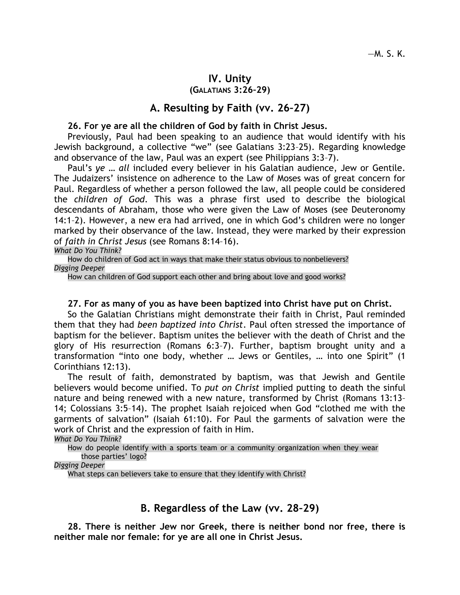### **IV. Unity (GALATIANS 3:26–29)**

### **A. Resulting by Faith (vv. 26–27)**

#### **26. For ye are all the children of God by faith in Christ Jesus.**

Previously, Paul had been speaking to an audience that would identify with his Jewish background, a collective "we" (see Galatians 3:23–25). Regarding knowledge and observance of the law, Paul was an expert (see Philippians 3:3–7).

Paul's *ye … all* included every believer in his Galatian audience, Jew or Gentile. The Judaizers' insistence on adherence to the Law of Moses was of great concern for Paul. Regardless of whether a person followed the law, all people could be considered the *children of God*. This was a phrase first used to describe the biological descendants of Abraham, those who were given the Law of Moses (see Deuteronomy 14:1–2). However, a new era had arrived, one in which God's children were no longer marked by their observance of the law. Instead, they were marked by their expression of *faith in Christ Jesus* (see Romans 8:14–16).

*What Do You Think?*

How do children of God act in ways that make their status obvious to nonbelievers? *Digging Deeper*

How can children of God support each other and bring about love and good works?

#### **27. For as many of you as have been baptized into Christ have put on Christ.**

So the Galatian Christians might demonstrate their faith in Christ, Paul reminded them that they had *been baptized into Christ*. Paul often stressed the importance of baptism for the believer. Baptism unites the believer with the death of Christ and the glory of His resurrection (Romans 6:3–7). Further, baptism brought unity and a transformation "into one body, whether … Jews or Gentiles, … into one Spirit" (1 Corinthians 12:13).

The result of faith, demonstrated by baptism, was that Jewish and Gentile believers would become unified. To *put on Christ* implied putting to death the sinful nature and being renewed with a new nature, transformed by Christ (Romans 13:13– 14; Colossians 3:5–14). The prophet Isaiah rejoiced when God "clothed me with the garments of salvation" (Isaiah 61:10). For Paul the garments of salvation were the work of Christ and the expression of faith in Him.

*What Do You Think?*

How do people identify with a sports team or a community organization when they wear those parties' logo?

*Digging Deeper*

What steps can believers take to ensure that they identify with Christ?

### **B. Regardless of the Law (vv. 28–29)**

**28. There is neither Jew nor Greek, there is neither bond nor free, there is neither male nor female: for ye are all one in Christ Jesus.**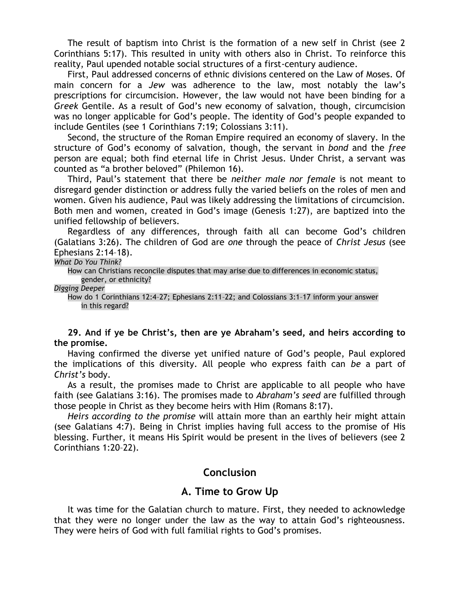The result of baptism into Christ is the formation of a new self in Christ (see 2 Corinthians 5:17). This resulted in unity with others also in Christ. To reinforce this reality, Paul upended notable social structures of a first-century audience.

First, Paul addressed concerns of ethnic divisions centered on the Law of Moses. Of main concern for a *Jew* was adherence to the law, most notably the law's prescriptions for circumcision. However, the law would not have been binding for a *Greek* Gentile. As a result of God's new economy of salvation, though, circumcision was no longer applicable for God's people. The identity of God's people expanded to include Gentiles (see 1 Corinthians 7:19; Colossians 3:11).

Second, the structure of the Roman Empire required an economy of slavery. In the structure of God's economy of salvation, though, the servant in *bond* and the *free* person are equal; both find eternal life in Christ Jesus. Under Christ, a servant was counted as "a brother beloved" (Philemon 16).

Third, Paul's statement that there be *neither male nor female* is not meant to disregard gender distinction or address fully the varied beliefs on the roles of men and women. Given his audience, Paul was likely addressing the limitations of circumcision. Both men and women, created in God's image (Genesis 1:27), are baptized into the unified fellowship of believers.

Regardless of any differences, through faith all can become God's children (Galatians 3:26). The children of God are *one* through the peace of *Christ Jesus* (see Ephesians 2:14–18).

*What Do You Think?*

How can Christians reconcile disputes that may arise due to differences in economic status, gender, or ethnicity?

*Digging Deeper*

How do 1 Corinthians 12:4–27; Ephesians 2:11–22; and Colossians 3:1–17 inform your answer in this regard?

**29. And if ye be Christ's, then are ye Abraham's seed, and heirs according to the promise.**

Having confirmed the diverse yet unified nature of God's people, Paul explored the implications of this diversity. All people who express faith can *be* a part of *Christ's* body.

As a result, the promises made to Christ are applicable to all people who have faith (see Galatians 3:16). The promises made to *Abraham's seed* are fulfilled through those people in Christ as they become heirs with Him (Romans 8:17).

*Heirs according to the promise* will attain more than an earthly heir might attain (see Galatians 4:7). Being in Christ implies having full access to the promise of His blessing. Further, it means His Spirit would be present in the lives of believers (see 2 Corinthians 1:20–22).

## **Conclusion**

## **A. Time to Grow Up**

It was time for the Galatian church to mature. First, they needed to acknowledge that they were no longer under the law as the way to attain God's righteousness. They were heirs of God with full familial rights to God's promises.